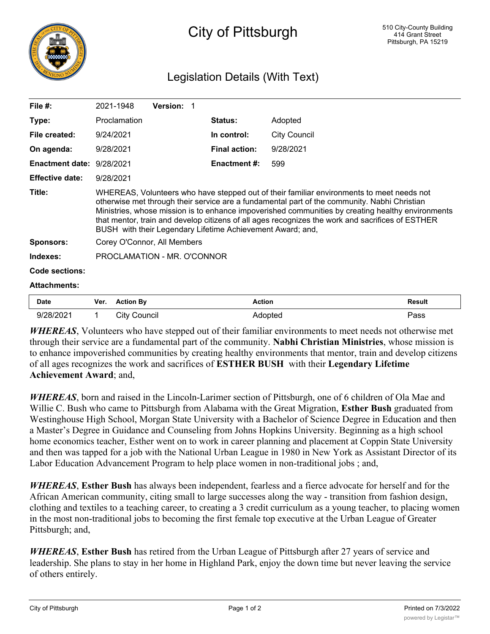

## Legislation Details (With Text)

| File $#$ :             | 2021-1948                                                                                                                                                                                                                                                                                                                                                                                                                                                        | <b>Version: 1</b> |                      |              |  |  |
|------------------------|------------------------------------------------------------------------------------------------------------------------------------------------------------------------------------------------------------------------------------------------------------------------------------------------------------------------------------------------------------------------------------------------------------------------------------------------------------------|-------------------|----------------------|--------------|--|--|
| Type:                  | Proclamation                                                                                                                                                                                                                                                                                                                                                                                                                                                     |                   | <b>Status:</b>       | Adopted      |  |  |
| File created:          | 9/24/2021                                                                                                                                                                                                                                                                                                                                                                                                                                                        |                   | In control:          | City Council |  |  |
| On agenda:             | 9/28/2021                                                                                                                                                                                                                                                                                                                                                                                                                                                        |                   | <b>Final action:</b> | 9/28/2021    |  |  |
| <b>Enactment date:</b> | 9/28/2021                                                                                                                                                                                                                                                                                                                                                                                                                                                        |                   | Enactment #:         | 599          |  |  |
| <b>Effective date:</b> | 9/28/2021                                                                                                                                                                                                                                                                                                                                                                                                                                                        |                   |                      |              |  |  |
| Title:                 | WHEREAS, Volunteers who have stepped out of their familiar environments to meet needs not<br>otherwise met through their service are a fundamental part of the community. Nabhi Christian<br>Ministries, whose mission is to enhance impoverished communities by creating healthy environments<br>that mentor, train and develop citizens of all ages recognizes the work and sacrifices of ESTHER<br>BUSH with their Legendary Lifetime Achievement Award; and, |                   |                      |              |  |  |
| <b>Sponsors:</b>       | Corey O'Connor, All Members                                                                                                                                                                                                                                                                                                                                                                                                                                      |                   |                      |              |  |  |
| Indexes:               | PROCLAMATION - MR. O'CONNOR                                                                                                                                                                                                                                                                                                                                                                                                                                      |                   |                      |              |  |  |
| Code sections:         |                                                                                                                                                                                                                                                                                                                                                                                                                                                                  |                   |                      |              |  |  |
| <b>Attachments:</b>    |                                                                                                                                                                                                                                                                                                                                                                                                                                                                  |                   |                      |              |  |  |
|                        |                                                                                                                                                                                                                                                                                                                                                                                                                                                                  |                   |                      |              |  |  |

| Date      | Ver. | <b>Action By</b> | <b>Action</b> | Result |
|-----------|------|------------------|---------------|--------|
| 9/28/2021 |      | City Council     | Adopted       | Pass   |

*WHEREAS*, Volunteers who have stepped out of their familiar environments to meet needs not otherwise met through their service are a fundamental part of the community. **Nabhi Christian Ministries**, whose mission is to enhance impoverished communities by creating healthy environments that mentor, train and develop citizens of all ages recognizes the work and sacrifices of **ESTHER BUSH** with their **Legendary Lifetime Achievement Award**; and,

*WHEREAS*, born and raised in the Lincoln-Larimer section of Pittsburgh, one of 6 children of Ola Mae and Willie C. Bush who came to Pittsburgh from Alabama with the Great Migration, **Esther Bush** graduated from Westinghouse High School, Morgan State University with a Bachelor of Science Degree in Education and then a Master's Degree in Guidance and Counseling from Johns Hopkins University. Beginning as a high school home economics teacher, Esther went on to work in career planning and placement at Coppin State University and then was tapped for a job with the National Urban League in 1980 in New York as Assistant Director of its Labor Education Advancement Program to help place women in non-traditional jobs ; and,

*WHEREAS*, **Esther Bush** has always been independent, fearless and a fierce advocate for herself and for the African American community, citing small to large successes along the way - transition from fashion design, clothing and textiles to a teaching career, to creating a 3 credit curriculum as a young teacher, to placing women in the most non-traditional jobs to becoming the first female top executive at the Urban League of Greater Pittsburgh; and,

*WHEREAS*, **Esther Bush** has retired from the Urban League of Pittsburgh after 27 years of service and leadership. She plans to stay in her home in Highland Park, enjoy the down time but never leaving the service of others entirely.